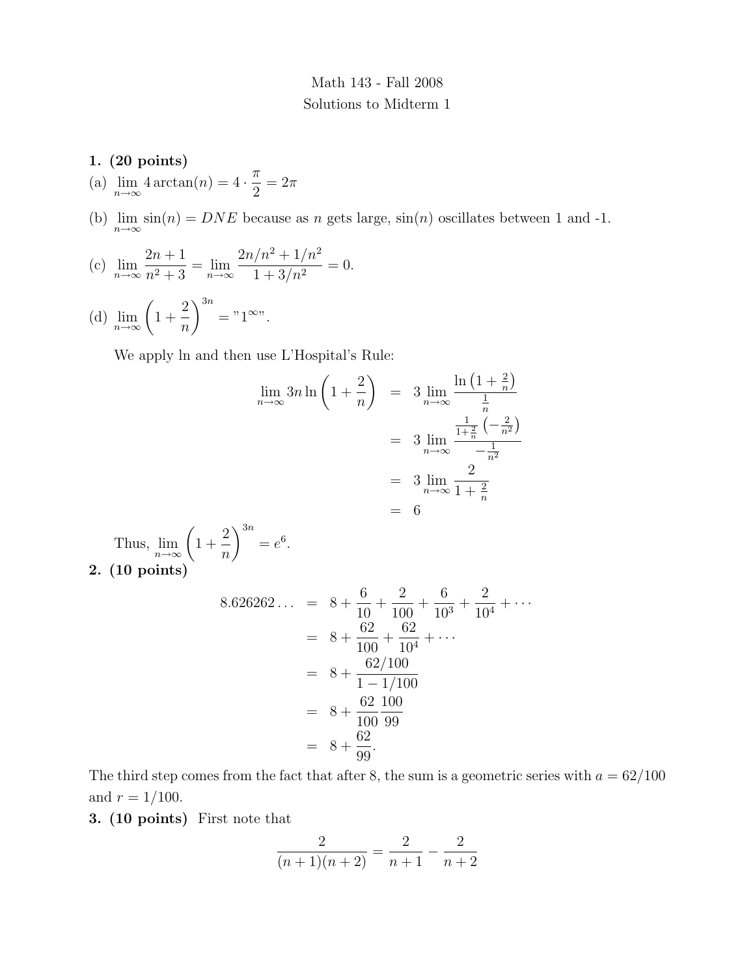## Math 143 - Fall 2008 Solutions to Midterm 1

### 1. (20 points)

- (a)  $\lim_{n \to \infty} 4 \arctan(n) = 4 \cdot \frac{\pi}{2}$ 2  $= 2\pi$
- (b)  $\lim_{n\to\infty} \sin(n) = DNE$  because as n gets large,  $\sin(n)$  oscillates between 1 and -1.

(c) 
$$
\lim_{n \to \infty} \frac{2n+1}{n^2+3} = \lim_{n \to \infty} \frac{2n/n^2 + 1/n^2}{1+3/n^2} = 0.
$$

(d)  $\lim_{n\to\infty} \left(1 + \right)$ 2 n  $\setminus^{3n}$  $=$ "1<sup>∞"</sup>.

We apply ln and then use L'Hospital's Rule:

$$
\lim_{n \to \infty} 3n \ln \left( 1 + \frac{2}{n} \right) = 3 \lim_{n \to \infty} \frac{\ln \left( 1 + \frac{2}{n} \right)}{\frac{1}{n}}
$$

$$
= 3 \lim_{n \to \infty} \frac{\frac{1}{1 + \frac{2}{n}} \left( -\frac{2}{n^2} \right)}{-\frac{1}{n^2}}
$$

$$
= 3 \lim_{n \to \infty} \frac{2}{1 + \frac{2}{n}}
$$

$$
= 6
$$

Thus,  $\lim_{n\to\infty} \left(1+\right)$ 2 n  $\setminus^{3n}$  $=e^6$ . 2. (10 points)

$$
8.626262... = 8 + \frac{6}{10} + \frac{2}{100} + \frac{6}{10^3} + \frac{2}{10^4} + \cdots
$$
  
= 8 +  $\frac{62}{100} + \frac{62}{10^4} + \cdots$   
= 8 +  $\frac{62/100}{1 - 1/100}$   
= 8 +  $\frac{62}{100} \frac{100}{99}$   
= 8 +  $\frac{62}{99}$ .

The third step comes from the fact that after 8, the sum is a geometric series with  $a = 62/100$ and  $r = 1/100$ .

3. (10 points) First note that

$$
\frac{2}{(n+1)(n+2)} = \frac{2}{n+1} - \frac{2}{n+2}
$$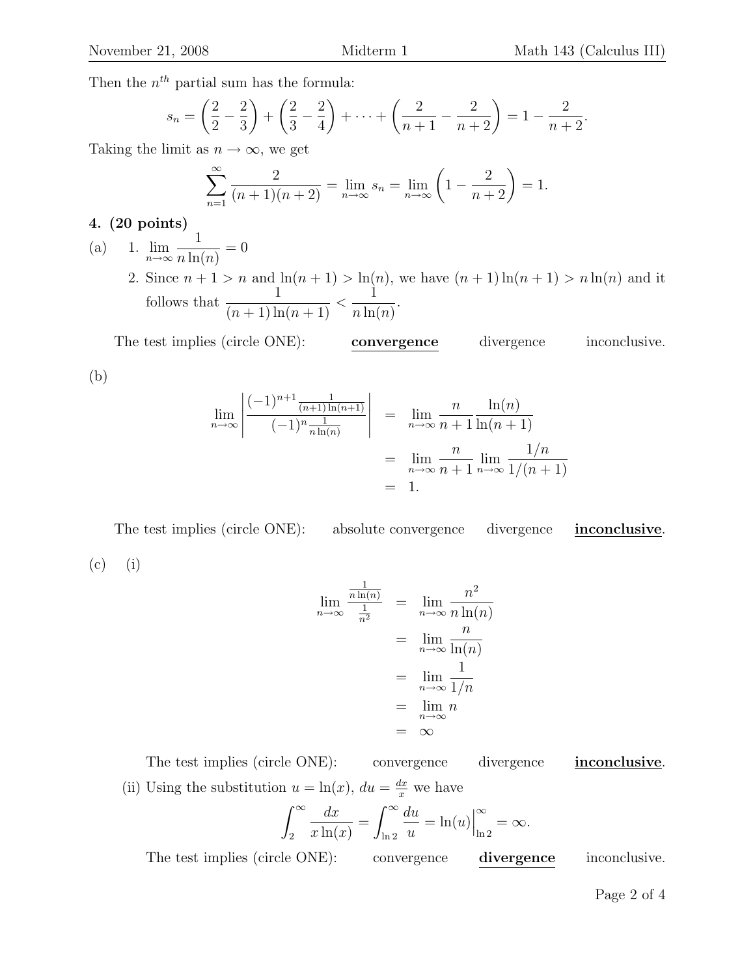Then the  $n^{th}$  partial sum has the formula:

$$
s_n = \left(\frac{2}{2} - \frac{2}{3}\right) + \left(\frac{2}{3} - \frac{2}{4}\right) + \dots + \left(\frac{2}{n+1} - \frac{2}{n+2}\right) = 1 - \frac{2}{n+2}.
$$

Taking the limit as  $n \to \infty$ , we get

$$
\sum_{n=1}^{\infty} \frac{2}{(n+1)(n+2)} = \lim_{n \to \infty} s_n = \lim_{n \to \infty} \left( 1 - \frac{2}{n+2} \right) = 1.
$$

## 4. (20 points)

- (a) 1.  $\lim_{n\to\infty}$ 1  $n \ln(n)$  $= 0$ 
	- 2. Since  $n+1 > n$  and  $\ln(n+1) > \ln(n)$ , we have  $(n+1)\ln(n+1) > n \ln(n)$  and it follows that  $\frac{1}{(1+1)^2}$  $\frac{1}{(n+1)\ln(n+1)} <$ 1  $n \ln(n)$ .

The test implies (circle ONE): convergence divergence inconclusive. (b)

$$
\lim_{n \to \infty} \left| \frac{(-1)^{n+1} \frac{1}{(n+1)\ln(n+1)}}{(-1)^n \frac{1}{n\ln(n)}} \right| = \lim_{n \to \infty} \frac{n}{n+1} \frac{\ln(n)}{\ln(n+1)}
$$

$$
= \lim_{n \to \infty} \frac{n}{n+1} \lim_{n \to \infty} \frac{1/n}{1/(n+1)}
$$

$$
= 1.
$$

The test implies (circle ONE): absolute convergence divergence inconclusive. (c) (i)

$$
\lim_{n \to \infty} \frac{\frac{1}{n \ln(n)}}{\frac{1}{n^2}} = \lim_{n \to \infty} \frac{n^2}{n \ln(n)}
$$

$$
= \lim_{n \to \infty} \frac{n}{\ln(n)}
$$

$$
= \lim_{n \to \infty} \frac{1}{1/n}
$$

$$
= \lim_{n \to \infty} n
$$

$$
= \infty
$$

The test implies (circle ONE): convergence divergence inconclusive. (ii) Using the substitution  $u = \ln(x)$ ,  $du = \frac{dx}{x}$  we have

$$
\int_2^{\infty} \frac{dx}{x \ln(x)} = \int_{\ln 2}^{\infty} \frac{du}{u} = \ln(u) \Big|_{\ln 2}^{\infty} = \infty.
$$

The test implies (circle ONE): convergence divergence inconclusive.

Page 2 of 4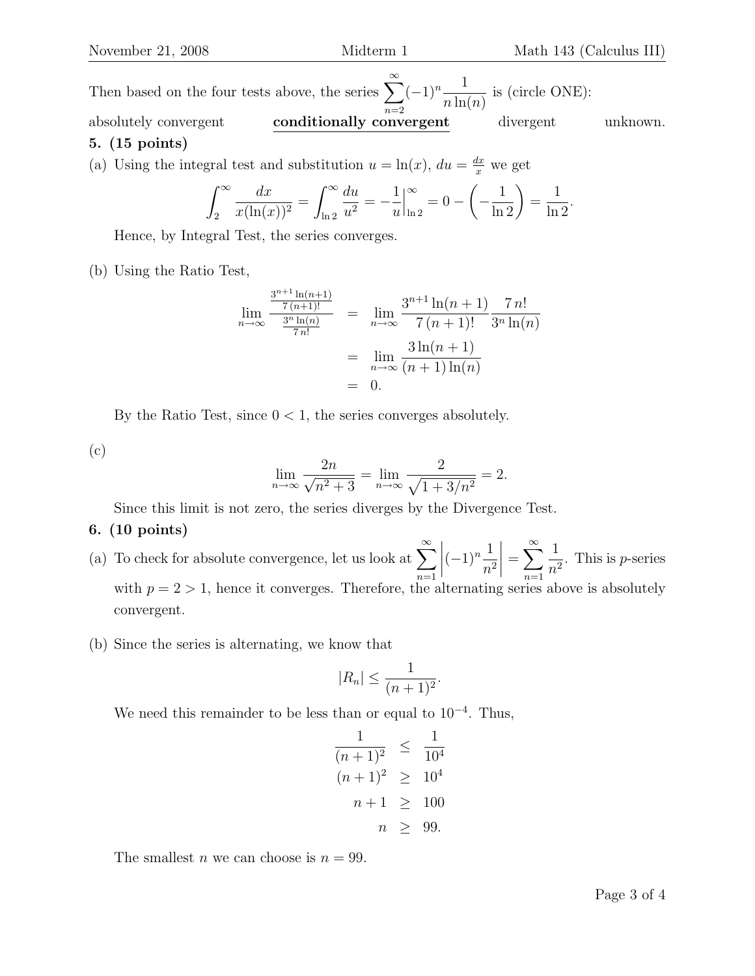Then based on the four tests above, the series  $\sum_{n=1}^{\infty}$  $n=2$  $(-1)^n - \frac{1}{1}$  $n \ln(n)$ is (circle ONE): absolutely convergent conditionally convergent divergent unknown. 5. (15 points)

(a) Using the integral test and substitution 
$$
u = \ln(x)
$$
,  $du = \frac{dx}{x}$  we get

$$
\int_2^{\infty} \frac{dx}{x(\ln(x))^2} = \int_{\ln 2}^{\infty} \frac{du}{u^2} = -\frac{1}{u} \Big|_{\ln 2}^{\infty} = 0 - \left(-\frac{1}{\ln 2}\right) = \frac{1}{\ln 2}.
$$

Hence, by Integral Test, the series converges.

(b) Using the Ratio Test,

$$
\lim_{n \to \infty} \frac{\frac{3^{n+1} \ln(n+1)}{7 (n+1)!}}{\frac{3^n \ln(n)}{7 n!}} = \lim_{n \to \infty} \frac{3^{n+1} \ln(n+1)}{7 (n+1)!} \frac{7 n!}{3^n \ln(n)}
$$

$$
= \lim_{n \to \infty} \frac{3 \ln(n+1)}{(n+1) \ln(n)}
$$

$$
= 0.
$$

By the Ratio Test, since  $0 < 1$ , the series converges absolutely.

(c)

$$
\lim_{n \to \infty} \frac{2n}{\sqrt{n^2 + 3}} = \lim_{n \to \infty} \frac{2}{\sqrt{1 + 3/n^2}} = 2.
$$

Since this limit is not zero, the series diverges by the Divergence Test.

#### 6. (10 points)

- (a) To check for absolute convergence, let us look at  $\sum_{n=1}^{\infty}$  $n=1$  $\begin{array}{c} \begin{array}{c} \begin{array}{c} \end{array} \\ \begin{array}{c} \end{array} \end{array} \end{array}$  $(-1)^n \frac{1}{2}$  $n<sup>2</sup>$  $\Big| =$  $\sum^{\infty}$  $n=1$ 1  $\frac{1}{n^2}$ . This is *p*-series with  $p = 2 > 1$ , hence it converges. Therefore, the alternating series above is absolutely convergent.
- (b) Since the series is alternating, we know that

$$
|R_n| \le \frac{1}{(n+1)^2}.
$$

We need this remainder to be less than or equal to  $10^{-4}$ . Thus,

$$
\frac{1}{(n+1)^2} \le \frac{1}{10^4}
$$
  
\n
$$
(n+1)^2 \ge 10^4
$$
  
\n
$$
n+1 \ge 100
$$
  
\n
$$
n \ge 99.
$$

The smallest *n* we can choose is  $n = 99$ .